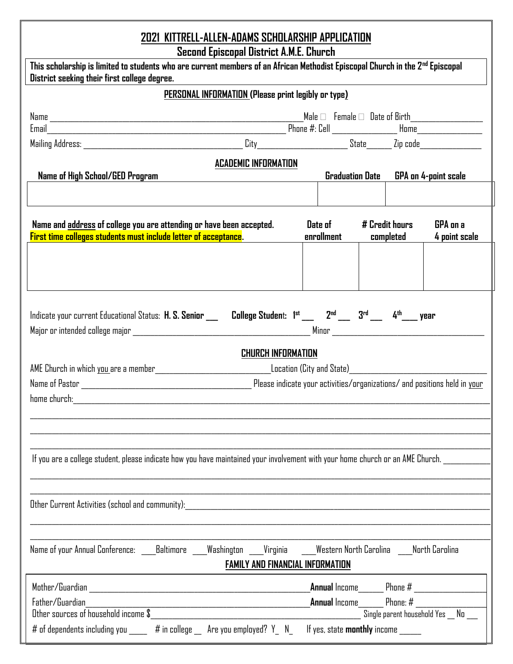# **2021 KITTRELL-ALLEN-ADAMS SCHOLARSHIP APPLICATION**

**Second Episcopal District A.M.E. Church**

| This scholarship is limited to students who are current members of an African Methodist Episcopal Church in the 2 <sup>nd</sup> Episcopal<br>District seeking their first college degree. |                        |                                                                                              |                                     |  |  |
|-------------------------------------------------------------------------------------------------------------------------------------------------------------------------------------------|------------------------|----------------------------------------------------------------------------------------------|-------------------------------------|--|--|
| PERSONAL INFORMATION (Please print legibly or type)                                                                                                                                       |                        |                                                                                              |                                     |  |  |
| Email                                                                                                                                                                                     |                        |                                                                                              |                                     |  |  |
| <b>ACADEMIC INFORMATION</b>                                                                                                                                                               |                        |                                                                                              |                                     |  |  |
| Name of High School/GED Program                                                                                                                                                           | <b>Graduation Date</b> |                                                                                              | <b>GPA on 4-point scale</b>         |  |  |
| Name and address of college you are attending or have been accepted.<br>First time colleges students must include letter of acceptance.                                                   | Date of<br>enrollment  | # Credit hours<br>completed                                                                  | <b>GPA</b> on a<br>4 point scale    |  |  |
| Indicate your current Educational Status: H. S. Senior ___ College Student: 1st ___ 2 <sup>nd</sup> ___ 3 <sup>rd</sup> ___ 4th___ year<br><b>CHURCH INFORMATION</b>                      |                        |                                                                                              |                                     |  |  |
|                                                                                                                                                                                           |                        |                                                                                              |                                     |  |  |
| If you are a college student, please indicate how you have maintained your involvement with your home church or an AME Church.                                                            |                        |                                                                                              |                                     |  |  |
| Other Current Activities (school and community):<br><u> 1980 - Jan Barbara, martxa a shekara 1980 - An</u>                                                                                |                        |                                                                                              |                                     |  |  |
| Name of your Annual Conference: Baltimore Washington Virginia<br>Western North Carolina<br>North Carolina<br><b>FAMILY AND FINANCIAL INFORMATION</b>                                      |                        |                                                                                              |                                     |  |  |
| Father/Guardian<br>Other sources of household income $\$$<br># of dependents including you ____ # in college _ Are you employed? Y_ N_ H yes, state <b>monthly</b> income ____            |                        | <b>_Annual</b> Income________    Phone # __________________<br><b>Annual</b> Income Phone: # | Single parent household Yes _ No __ |  |  |